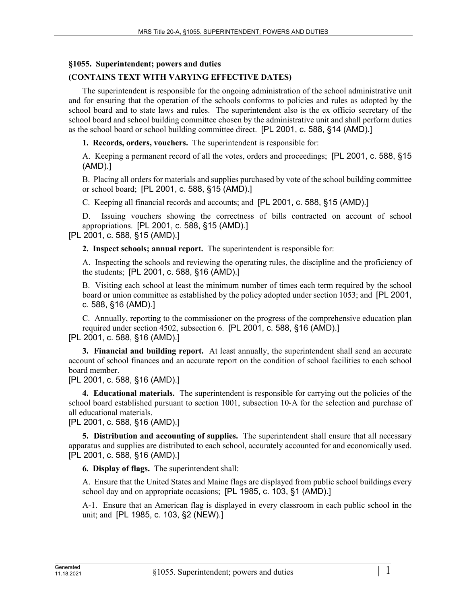### **§1055. Superintendent; powers and duties**

# **(CONTAINS TEXT WITH VARYING EFFECTIVE DATES)**

The superintendent is responsible for the ongoing administration of the school administrative unit and for ensuring that the operation of the schools conforms to policies and rules as adopted by the school board and to state laws and rules. The superintendent also is the ex officio secretary of the school board and school building committee chosen by the administrative unit and shall perform duties as the school board or school building committee direct. [PL 2001, c. 588, §14 (AMD).]

**1. Records, orders, vouchers.** The superintendent is responsible for:

A. Keeping a permanent record of all the votes, orders and proceedings; [PL 2001, c. 588, §15 (AMD).]

B. Placing all orders for materials and supplies purchased by vote of the school building committee or school board; [PL 2001, c. 588, §15 (AMD).]

C. Keeping all financial records and accounts; and [PL 2001, c. 588, §15 (AMD).]

D. Issuing vouchers showing the correctness of bills contracted on account of school appropriations. [PL 2001, c. 588, §15 (AMD).] [PL 2001, c. 588, §15 (AMD).]

**2. Inspect schools; annual report.** The superintendent is responsible for:

A. Inspecting the schools and reviewing the operating rules, the discipline and the proficiency of the students; [PL 2001, c. 588, §16 (AMD).]

B. Visiting each school at least the minimum number of times each term required by the school board or union committee as established by the policy adopted under section 1053; and [PL 2001, c. 588, §16 (AMD).]

C. Annually, reporting to the commissioner on the progress of the comprehensive education plan required under section 4502, subsection 6. [PL 2001, c. 588, §16 (AMD).]

[PL 2001, c. 588, §16 (AMD).]

**3. Financial and building report.** At least annually, the superintendent shall send an accurate account of school finances and an accurate report on the condition of school facilities to each school board member.

[PL 2001, c. 588, §16 (AMD).]

**4. Educational materials.** The superintendent is responsible for carrying out the policies of the school board established pursuant to section 1001, subsection 10–A for the selection and purchase of all educational materials.

[PL 2001, c. 588, §16 (AMD).]

**5. Distribution and accounting of supplies.** The superintendent shall ensure that all necessary apparatus and supplies are distributed to each school, accurately accounted for and economically used. [PL 2001, c. 588, §16 (AMD).]

**6. Display of flags.** The superintendent shall:

A. Ensure that the United States and Maine flags are displayed from public school buildings every school day and on appropriate occasions; [PL 1985, c. 103, §1 (AMD).]

A-1. Ensure that an American flag is displayed in every classroom in each public school in the unit; and [PL 1985, c. 103, §2 (NEW).]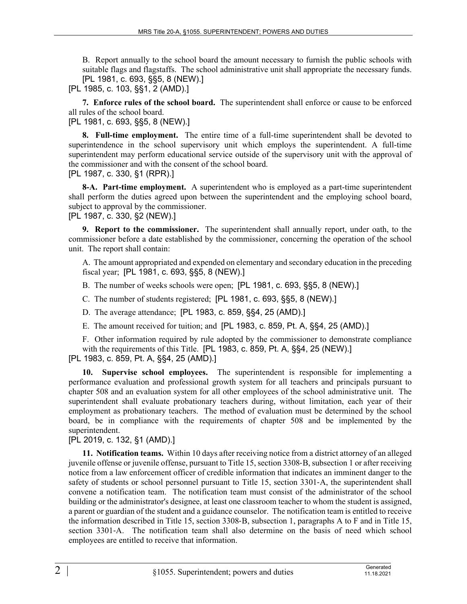B. Report annually to the school board the amount necessary to furnish the public schools with suitable flags and flagstaffs. The school administrative unit shall appropriate the necessary funds. [PL 1981, c. 693, §§5, 8 (NEW).]

[PL 1985, c. 103, §§1, 2 (AMD).]

**7. Enforce rules of the school board.** The superintendent shall enforce or cause to be enforced all rules of the school board.

[PL 1981, c. 693, §§5, 8 (NEW).]

**8. Full-time employment.** The entire time of a full-time superintendent shall be devoted to superintendence in the school supervisory unit which employs the superintendent. A full-time superintendent may perform educational service outside of the supervisory unit with the approval of the commissioner and with the consent of the school board.

[PL 1987, c. 330, §1 (RPR).]

**8-A. Part-time employment.** A superintendent who is employed as a part-time superintendent shall perform the duties agreed upon between the superintendent and the employing school board, subject to approval by the commissioner.

[PL 1987, c. 330, §2 (NEW).]

**9. Report to the commissioner.** The superintendent shall annually report, under oath, to the commissioner before a date established by the commissioner, concerning the operation of the school unit. The report shall contain:

A. The amount appropriated and expended on elementary and secondary education in the preceding fiscal year; [PL 1981, c. 693, §§5, 8 (NEW).]

B. The number of weeks schools were open; [PL 1981, c. 693, §§5, 8 (NEW).]

C. The number of students registered; [PL 1981, c. 693, §§5, 8 (NEW).]

D. The average attendance; [PL 1983, c. 859, §§4, 25 (AMD).]

E. The amount received for tuition; and [PL 1983, c. 859, Pt. A, §§4, 25 (AMD).]

F. Other information required by rule adopted by the commissioner to demonstrate compliance with the requirements of this Title. [PL 1983, c. 859, Pt. A, §§4, 25 (NEW).] [PL 1983, c. 859, Pt. A, §§4, 25 (AMD).]

**10. Supervise school employees.** The superintendent is responsible for implementing a performance evaluation and professional growth system for all teachers and principals pursuant to chapter 508 and an evaluation system for all other employees of the school administrative unit. The superintendent shall evaluate probationary teachers during, without limitation, each year of their employment as probationary teachers. The method of evaluation must be determined by the school board, be in compliance with the requirements of chapter 508 and be implemented by the superintendent.

[PL 2019, c. 132, §1 (AMD).]

**11. Notification teams.** Within 10 days after receiving notice from a district attorney of an alleged juvenile offense or juvenile offense, pursuant to Title 15, section 3308‑B, subsection 1 or after receiving notice from a law enforcement officer of credible information that indicates an imminent danger to the safety of students or school personnel pursuant to Title 15, section 3301-A, the superintendent shall convene a notification team. The notification team must consist of the administrator of the school building or the administrator's designee, at least one classroom teacher to whom the student is assigned, a parent or guardian of the student and a guidance counselor. The notification team is entitled to receive the information described in Title 15, section 3308‑B, subsection 1, paragraphs A to F and in Title 15, section 3301-A. The notification team shall also determine on the basis of need which school employees are entitled to receive that information.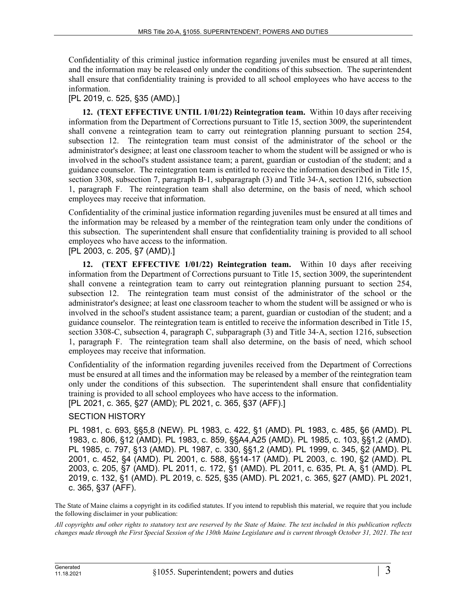Confidentiality of this criminal justice information regarding juveniles must be ensured at all times, and the information may be released only under the conditions of this subsection. The superintendent shall ensure that confidentiality training is provided to all school employees who have access to the information.

### [PL 2019, c. 525, §35 (AMD).]

**12. (TEXT EFFECTIVE UNTIL 1/01/22) Reintegration team.** Within 10 days after receiving information from the Department of Corrections pursuant to Title 15, section 3009, the superintendent shall convene a reintegration team to carry out reintegration planning pursuant to section 254, subsection 12. The reintegration team must consist of the administrator of the school or the administrator's designee; at least one classroom teacher to whom the student will be assigned or who is involved in the school's student assistance team; a parent, guardian or custodian of the student; and a guidance counselor. The reintegration team is entitled to receive the information described in Title 15, section 3308, subsection 7, paragraph B–1, subparagraph (3) and Title 34–A, section 1216, subsection 1, paragraph F. The reintegration team shall also determine, on the basis of need, which school employees may receive that information.

Confidentiality of the criminal justice information regarding juveniles must be ensured at all times and the information may be released by a member of the reintegration team only under the conditions of this subsection. The superintendent shall ensure that confidentiality training is provided to all school employees who have access to the information.

## [PL 2003, c. 205, §7 (AMD).]

**12. (TEXT EFFECTIVE 1/01/22) Reintegration team.** Within 10 days after receiving information from the Department of Corrections pursuant to Title 15, section 3009, the superintendent shall convene a reintegration team to carry out reintegration planning pursuant to section 254, subsection 12. The reintegration team must consist of the administrator of the school or the administrator's designee; at least one classroom teacher to whom the student will be assigned or who is involved in the school's student assistance team; a parent, guardian or custodian of the student; and a guidance counselor. The reintegration team is entitled to receive the information described in Title 15, section 3308-C, subsection 4, paragraph C, subparagraph (3) and Title 34-A, section 1216, subsection 1, paragraph F. The reintegration team shall also determine, on the basis of need, which school employees may receive that information.

Confidentiality of the information regarding juveniles received from the Department of Corrections must be ensured at all times and the information may be released by a member of the reintegration team only under the conditions of this subsection. The superintendent shall ensure that confidentiality training is provided to all school employees who have access to the information. [PL 2021, c. 365, §27 (AMD); PL 2021, c. 365, §37 (AFF).]

#### SECTION HISTORY

PL 1981, c. 693, §§5,8 (NEW). PL 1983, c. 422, §1 (AMD). PL 1983, c. 485, §6 (AMD). PL 1983, c. 806, §12 (AMD). PL 1983, c. 859, §§A4,A25 (AMD). PL 1985, c. 103, §§1,2 (AMD). PL 1985, c. 797, §13 (AMD). PL 1987, c. 330, §§1,2 (AMD). PL 1999, c. 345, §2 (AMD). PL 2001, c. 452, §4 (AMD). PL 2001, c. 588, §§14-17 (AMD). PL 2003, c. 190, §2 (AMD). PL 2003, c. 205, §7 (AMD). PL 2011, c. 172, §1 (AMD). PL 2011, c. 635, Pt. A, §1 (AMD). PL 2019, c. 132, §1 (AMD). PL 2019, c. 525, §35 (AMD). PL 2021, c. 365, §27 (AMD). PL 2021, c. 365, §37 (AFF).

The State of Maine claims a copyright in its codified statutes. If you intend to republish this material, we require that you include the following disclaimer in your publication:

*All copyrights and other rights to statutory text are reserved by the State of Maine. The text included in this publication reflects changes made through the First Special Session of the 130th Maine Legislature and is current through October 31, 2021. The text*